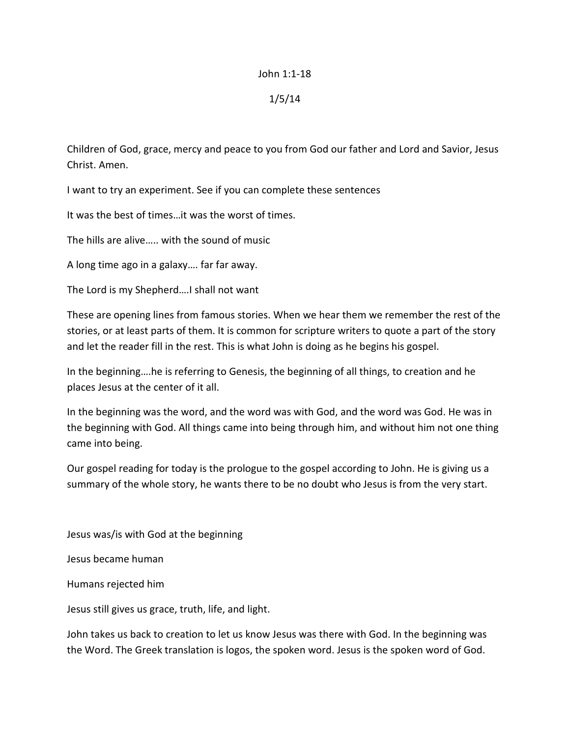## John 1:1-18

## 1/5/14

Children of God, grace, mercy and peace to you from God our father and Lord and Savior, Jesus Christ. Amen.

I want to try an experiment. See if you can complete these sentences

It was the best of times…it was the worst of times.

The hills are alive….. with the sound of music

A long time ago in a galaxy…. far far away.

The Lord is my Shepherd….I shall not want

These are opening lines from famous stories. When we hear them we remember the rest of the stories, or at least parts of them. It is common for scripture writers to quote a part of the story and let the reader fill in the rest. This is what John is doing as he begins his gospel.

In the beginning….he is referring to Genesis, the beginning of all things, to creation and he places Jesus at the center of it all.

In the beginning was the word, and the word was with God, and the word was God. He was in the beginning with God. All things came into being through him, and without him not one thing came into being.

Our gospel reading for today is the prologue to the gospel according to John. He is giving us a summary of the whole story, he wants there to be no doubt who Jesus is from the very start.

Jesus was/is with God at the beginning

Jesus became human

Humans rejected him

Jesus still gives us grace, truth, life, and light.

John takes us back to creation to let us know Jesus was there with God. In the beginning was the Word. The Greek translation is logos, the spoken word. Jesus is the spoken word of God.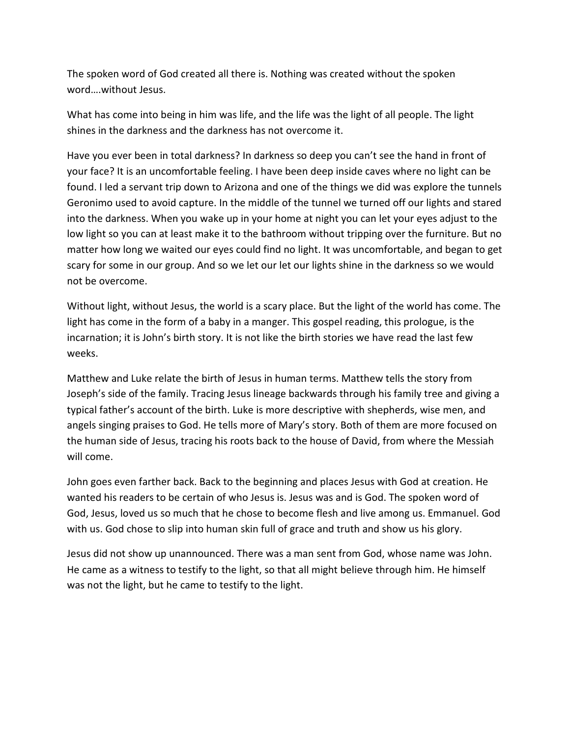The spoken word of God created all there is. Nothing was created without the spoken word….without Jesus.

What has come into being in him was life, and the life was the light of all people. The light shines in the darkness and the darkness has not overcome it.

Have you ever been in total darkness? In darkness so deep you can't see the hand in front of your face? It is an uncomfortable feeling. I have been deep inside caves where no light can be found. I led a servant trip down to Arizona and one of the things we did was explore the tunnels Geronimo used to avoid capture. In the middle of the tunnel we turned off our lights and stared into the darkness. When you wake up in your home at night you can let your eyes adjust to the low light so you can at least make it to the bathroom without tripping over the furniture. But no matter how long we waited our eyes could find no light. It was uncomfortable, and began to get scary for some in our group. And so we let our let our lights shine in the darkness so we would not be overcome.

Without light, without Jesus, the world is a scary place. But the light of the world has come. The light has come in the form of a baby in a manger. This gospel reading, this prologue, is the incarnation; it is John's birth story. It is not like the birth stories we have read the last few weeks.

Matthew and Luke relate the birth of Jesus in human terms. Matthew tells the story from Joseph's side of the family. Tracing Jesus lineage backwards through his family tree and giving a typical father's account of the birth. Luke is more descriptive with shepherds, wise men, and angels singing praises to God. He tells more of Mary's story. Both of them are more focused on the human side of Jesus, tracing his roots back to the house of David, from where the Messiah will come.

John goes even farther back. Back to the beginning and places Jesus with God at creation. He wanted his readers to be certain of who Jesus is. Jesus was and is God. The spoken word of God, Jesus, loved us so much that he chose to become flesh and live among us. Emmanuel. God with us. God chose to slip into human skin full of grace and truth and show us his glory.

Jesus did not show up unannounced. There was a man sent from God, whose name was John. He came as a witness to testify to the light, so that all might believe through him. He himself was not the light, but he came to testify to the light.